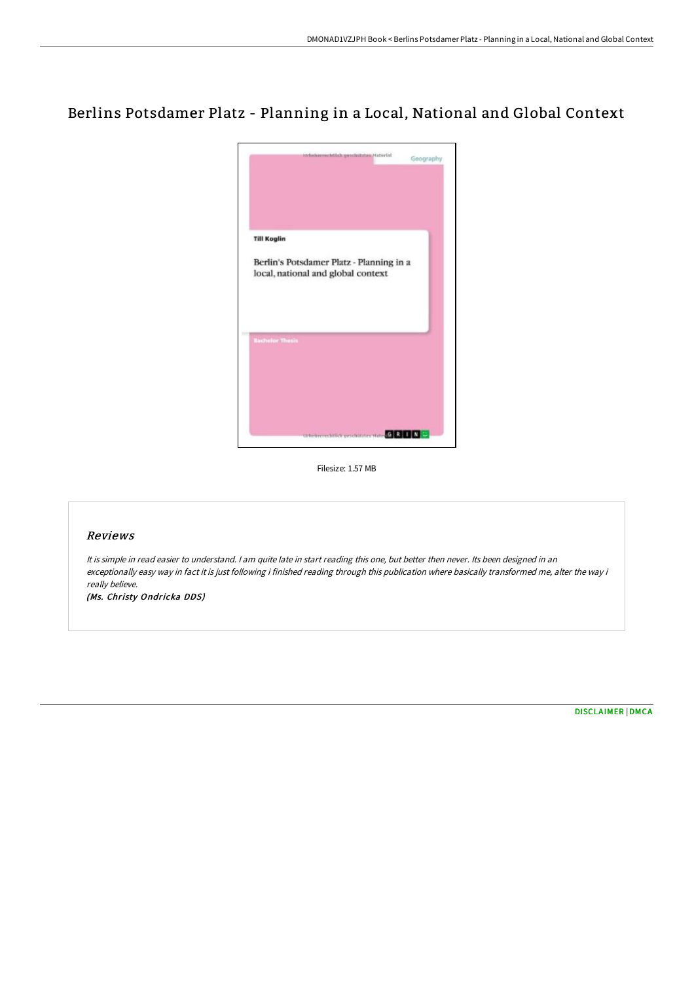## Berlins Potsdamer Platz - Planning in a Local, National and Global Context



Filesize: 1.57 MB

## Reviews

It is simple in read easier to understand. I am quite late in start reading this one, but better then never. Its been designed in an exceptionally easy way in fact it is just following i finished reading through this publication where basically transformed me, alter the way i really believe.

(Ms. Christy Ondricka DDS)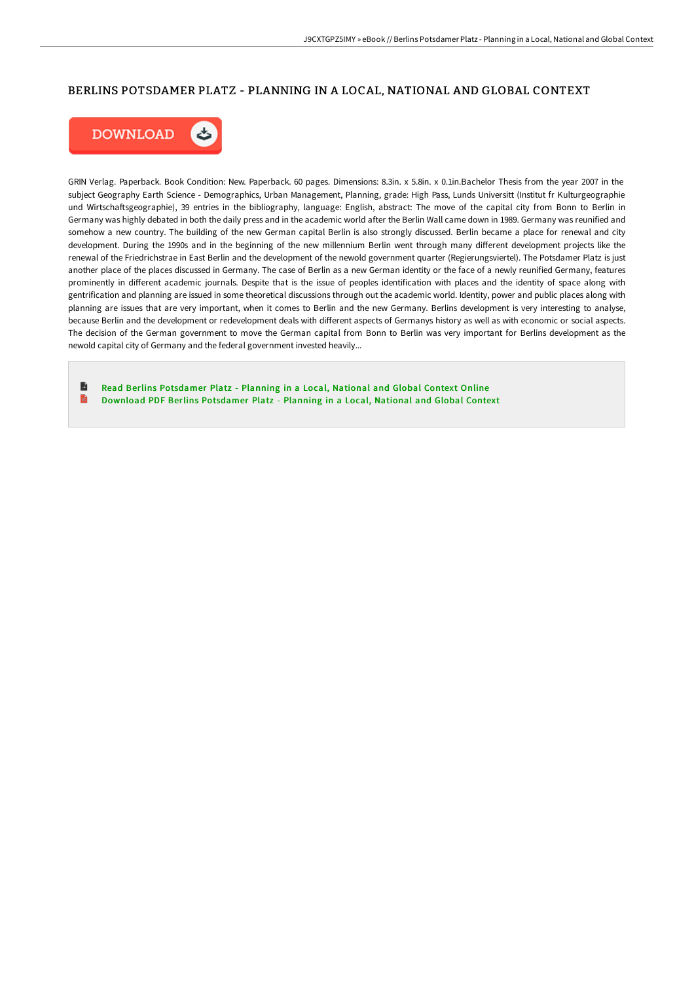## BERLINS POTSDAMER PLATZ - PLANNING IN A LOCAL, NATIONAL AND GLOBAL CONTEXT



GRIN Verlag. Paperback. Book Condition: New. Paperback. 60 pages. Dimensions: 8.3in. x 5.8in. x 0.1in.Bachelor Thesis from the year 2007 in the subject Geography Earth Science - Demographics, Urban Management, Planning, grade: High Pass, Lunds Universitt (Institut fr Kulturgeographie und Wirtschaftsgeographie), 39 entries in the bibliography, language: English, abstract: The move of the capital city from Bonn to Berlin in Germany was highly debated in both the daily press and in the academic world after the Berlin Wall came down in 1989. Germany was reunified and somehow a new country. The building of the new German capital Berlin is also strongly discussed. Berlin became a place for renewal and city development. During the 1990s and in the beginning of the new millennium Berlin went through many different development projects like the renewal of the Friedrichstrae in East Berlin and the development of the newold government quarter (Regierungsviertel). The Potsdamer Platz is just another place of the places discussed in Germany. The case of Berlin as a new German identity or the face of a newly reunified Germany, features prominently in different academic journals. Despite that is the issue of peoples identification with places and the identity of space along with gentrification and planning are issued in some theoretical discussions through out the academic world. Identity, power and public places along with planning are issues that are very important, when it comes to Berlin and the new Germany. Berlins development is very interesting to analyse, because Berlin and the development or redevelopment deals with different aspects of Germanys history as well as with economic or social aspects. The decision of the German government to move the German capital from Bonn to Berlin was very important for Berlins development as the newold capital city of Germany and the federal government invested heavily...

B Read Berlins [Potsdamer](http://albedo.media/berlins-potsdamer-platz-planning-in-a-local-nati.html) Platz - Planning in a Local, National and Global Context Online E Download PDF Berlins [Potsdamer](http://albedo.media/berlins-potsdamer-platz-planning-in-a-local-nati.html) Platz - Planning in a Local, National and Global Context